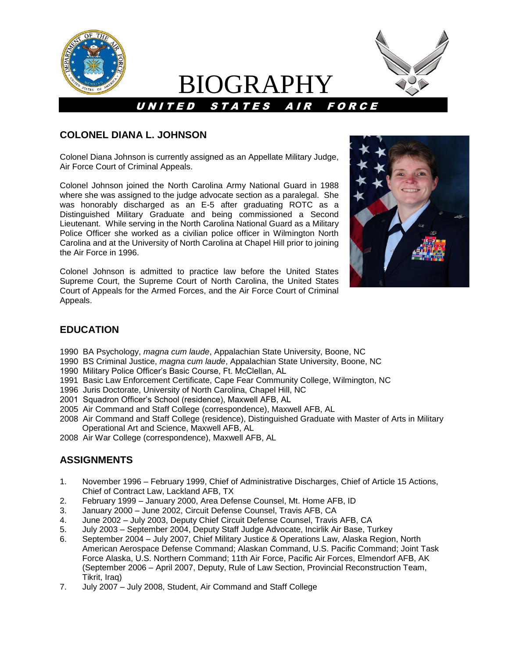

# BIOGRAPHY



### **COLONEL DIANA L. JOHNSON**

Colonel Diana Johnson is currently assigned as an Appellate Military Judge, Air Force Court of Criminal Appeals.

Colonel Johnson joined the North Carolina Army National Guard in 1988 where she was assigned to the judge advocate section as a paralegal. She was honorably discharged as an E-5 after graduating ROTC as a Distinguished Military Graduate and being commissioned a Second Lieutenant. While serving in the North Carolina National Guard as a Military Police Officer she worked as a civilian police officer in Wilmington North Carolina and at the University of North Carolina at Chapel Hill prior to joining the Air Force in 1996.

Colonel Johnson is admitted to practice law before the United States Supreme Court, the Supreme Court of North Carolina, the United States Court of Appeals for the Armed Forces, and the Air Force Court of Criminal Appeals.



# **EDUCATION**

- 1990 BA Psychology, *magna cum laude*, Appalachian State University, Boone, NC
- 1990 BS Criminal Justice, *magna cum laude*, Appalachian State University, Boone, NC
- 1990 Military Police Officer's Basic Course, Ft. McClellan, AL
- 1991 Basic Law Enforcement Certificate, Cape Fear Community College, Wilmington, NC
- 1996 Juris Doctorate, University of North Carolina, Chapel Hill, NC
- 2001 Squadron Officer's School (residence), Maxwell AFB, AL
- 2005 Air Command and Staff College (correspondence), Maxwell AFB, AL
- 2008 Air Command and Staff College (residence), Distinguished Graduate with Master of Arts in Military Operational Art and Science, Maxwell AFB, AL
- 2008 Air War College (correspondence), Maxwell AFB, AL

# **ASSIGNMENTS**

- 1. November 1996 February 1999, Chief of Administrative Discharges, Chief of Article 15 Actions, Chief of Contract Law, Lackland AFB, TX
- 2. February 1999 January 2000, Area Defense Counsel, Mt. Home AFB, ID
- 3. January 2000 June 2002, Circuit Defense Counsel, Travis AFB, CA
- 4. June 2002 July 2003, Deputy Chief Circuit Defense Counsel, Travis AFB, CA
- 5. July 2003 September 2004, Deputy Staff Judge Advocate, Incirlik Air Base, Turkey
- 6. September 2004 July 2007, Chief Military Justice & Operations Law, Alaska Region, North American Aerospace Defense Command; Alaskan Command, U.S. Pacific Command; Joint Task Force Alaska, U.S. Northern Command; 11th Air Force, Pacific Air Forces, Elmendorf AFB, AK (September 2006 – April 2007, Deputy, Rule of Law Section, Provincial Reconstruction Team, Tikrit, Iraq)
- 7. July 2007 July 2008, Student, Air Command and Staff College